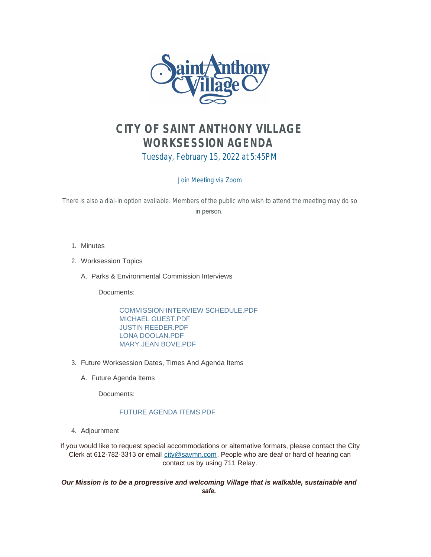

# *CITY OF SAINT ANTHONY VILLAGE WORKSESSION AGENDA*

Tuesday, February 15, 2022 at 5:45PM

# [Join Meeting via Zoom](https://www.savmn.com/Calendar.aspx?EID=1640)

There is also a dial-in option available. Members of the public who wish to attend the meeting may do so in person.

- 1. Minutes
- Worksession Topics 2.
	- A. Parks & Environmental Commission Interviews

Documents:

COMMISSION INTERVIEW SCHEDULE.PDF MICHAEL GUEST.PDF JUSTIN REEDER.PDF LONA DOOLAN.PDF MARY JEAN BOVE.PDF

- 3. Future Worksession Dates, Times And Agenda Items
	- A. Future Agenda Items

Documents:

# FUTURE AGENDA ITEMS.PDF

Adjournment 4.

If you would like to request special accommodations or alternative formats, please contact the City Clerk at 612-782-3313 or email [city@savmn.com](mailto:city@savmn.com). People who are deaf or hard of hearing can contact us by using 711 Relay.

*Our Mission is to be a progressive and welcoming Village that is walkable, sustainable and safe.*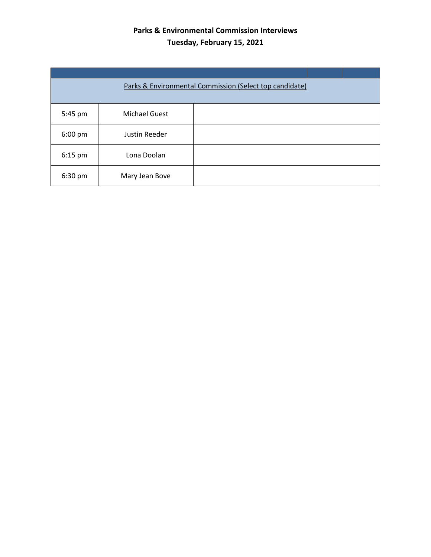# **Parks & Environmental Commission Interviews Tuesday, February 15, 2021**

| Parks & Environmental Commission (Select top candidate) |                      |  |  |  |
|---------------------------------------------------------|----------------------|--|--|--|
| 5:45 pm                                                 | <b>Michael Guest</b> |  |  |  |
| 6:00 pm                                                 | Justin Reeder        |  |  |  |
| $6:15$ pm                                               | Lona Doolan          |  |  |  |
| 6:30 pm                                                 | Mary Jean Bove       |  |  |  |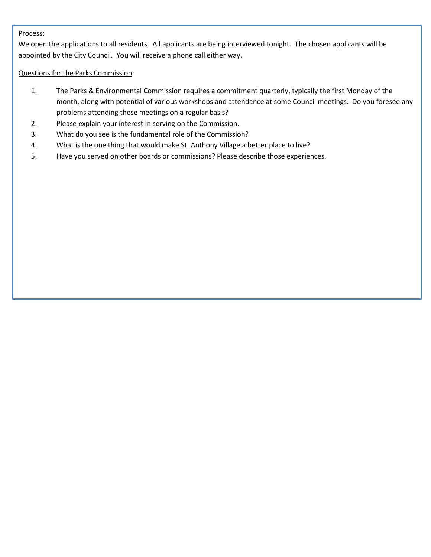# Process:

We open the applications to all residents. All applicants are being interviewed tonight. The chosen applicants will be appointed by the City Council. You will receive a phone call either way.

# Questions for the Parks Commission:

- 1. The Parks & Environmental Commission requires a commitment quarterly, typically the first Monday of the month, along with potential of various workshops and attendance at some Council meetings. Do you foresee any problems attending these meetings on a regular basis?
- 2. Please explain your interest in serving on the Commission.
- 3. What do you see is the fundamental role of the Commission?
- 4. What is the one thing that would make St. Anthony Village a better place to live?
- 5. Have you served on other boards or commissions? Please describe those experiences.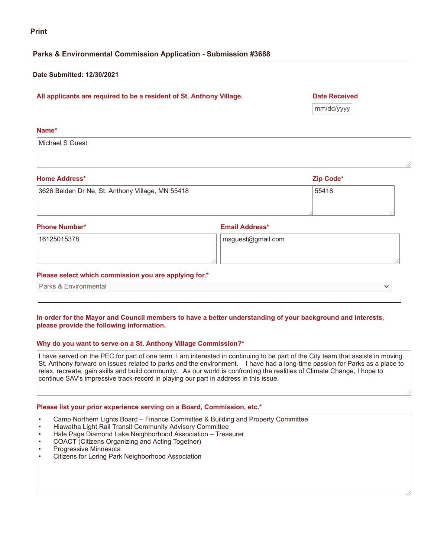# **Parks & Environmental Commission Application - Submission #3688**

# **Date Submitted: 12/30/2021**

# **All applicants are required to be a resident of St. Anthony Village. Date Received**

mm/dd/yyyy

## **Name\***

Michael S Guest

### **Home Address\* Zip Code\***

| 3626 Belden Dr Ne, St. Anthony Village, MN 55418 | 55418 |  |
|--------------------------------------------------|-------|--|
|                                                  |       |  |
|                                                  |       |  |

### **Phone Number\* Email Address\***

16125015378 msguest@gmail.com

# **Please select which commission you are applying for.\***

Parks & Environmental

### In order for the Mayor and Council members to have a better understanding of your background and interests, **please provide the following information.**

# **Why do you want to serve on a St. Anthony Village Commission?\***

I have served on the PEC for part of one term. I am interested in continuing to be part of the City team that assists in moving St. Anthony forward on issues related to parks and the environment. I have had a long-time passion for Parks as a place to relax, recreate, gain skills and build community. As our world is confronting the realities of Climate Change, I hope to continue SAV's impressive track-record in playing our part in address in this issue.

# **Please list your prior experience serving on a Board, Commission, etc.\***

- Camp Northern Lights Board Finance Committee & Building and Property Committee
- Hiawatha Light Rail Transit Community Advisory Committee
- Hale Page Diamond Lake Neighborhood Association Treasurer
- COACT (Citizens Organizing and Acting Together)
- Progressive Minnesota
- Citizens for Loring Park Neighborhood Association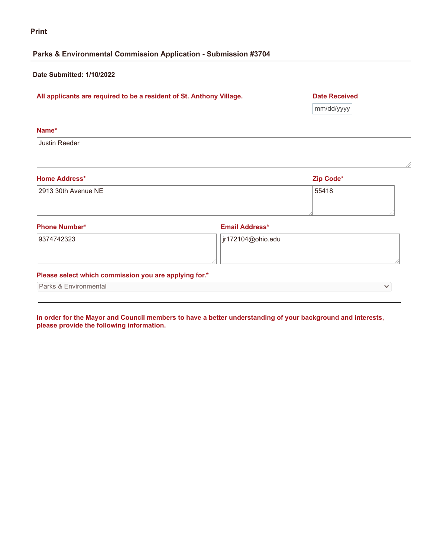# **Parks & Environmental Commission Application - Submission #3704**

# **Date Submitted: 1/10/2022**

# **All applicants are required to be a resident of St. Anthony Village. Date Received**

mm/dd/yyyy

| Name*                                                 |                       |              |
|-------------------------------------------------------|-----------------------|--------------|
| Justin Reeder                                         |                       |              |
|                                                       |                       |              |
| <b>Home Address*</b>                                  |                       | Zip Code*    |
| 2913 30th Avenue NE                                   |                       | 55418        |
|                                                       |                       |              |
| <b>Phone Number*</b>                                  | <b>Email Address*</b> |              |
|                                                       |                       |              |
| 9374742323                                            | jr172104@ohio.edu     |              |
| Please select which commission you are applying for.* |                       |              |
| Parks & Environmental                                 |                       | $\checkmark$ |
|                                                       |                       |              |

In order for the Mayor and Council members to have a better understanding of your background and interests, **please provide the following information.**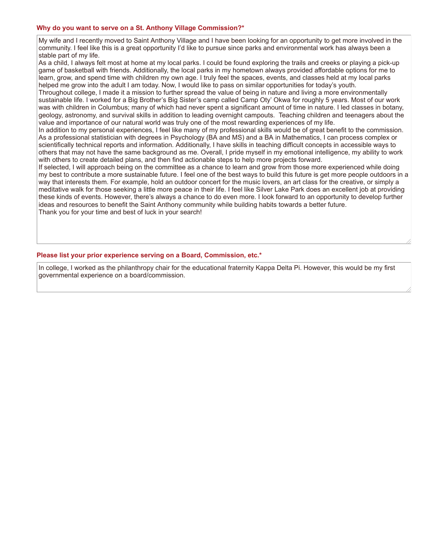### **Why do you want to serve on a St. Anthony Village Commission?\***

My wife and I recently moved to Saint Anthony Village and I have been looking for an opportunity to get more involved in the community. I feel like this is a great opportunity I'd like to pursue since parks and environmental work has always been a stable part of my life.

As a child, I always felt most at home at my local parks. I could be found exploring the trails and creeks or playing a pick-up game of basketball with friends. Additionally, the local parks in my hometown always provided affordable options for me to learn, grow, and spend time with children my own age. I truly feel the spaces, events, and classes held at my local parks helped me grow into the adult I am today. Now, I would like to pass on similar opportunities for today's youth.

Throughout college, I made it a mission to further spread the value of being in nature and living a more environmentally sustainable life. I worked for a Big Brother's Big Sister's camp called Camp Oty' Okwa for roughly 5 years. Most of our work was with children in Columbus; many of which had never spent a significant amount of time in nature. I led classes in botany, geology, astronomy, and survival skills in addition to leading overnight campouts. Teaching children and teenagers about the value and importance of our natural world was truly one of the most rewarding experiences of my life.

In addition to my personal experiences, I feel like many of my professional skills would be of great benefit to the commission. As a professional statistician with degrees in Psychology (BA and MS) and a BA in Mathematics, I can process complex or scientifically technical reports and information. Additionally, I have skills in teaching difficult concepts in accessible ways to others that may not have the same background as me. Overall, I pride myself in my emotional intelligence, my ability to work with others to create detailed plans, and then find actionable steps to help more projects forward.

If selected, I will approach being on the committee as a chance to learn and grow from those more experienced while doing my best to contribute a more sustainable future. I feel one of the best ways to build this future is get more people outdoors in a way that interests them. For example, hold an outdoor concert for the music lovers, an art class for the creative, or simply a meditative walk for those seeking a little more peace in their life. I feel like Silver Lake Park does an excellent job at providing these kinds of events. However, there's always a chance to do even more. I look forward to an opportunity to develop further ideas and resources to benefit the Saint Anthony community while building habits towards a better future. Thank you for your time and best of luck in your search!

### **Please list your prior experience serving on a Board, Commission, etc.\***

In college, I worked as the philanthropy chair for the educational fraternity Kappa Delta Pi. However, this would be my first governmental experience on a board/commission.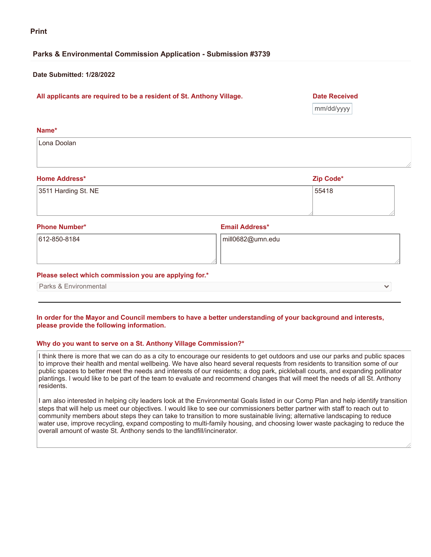# **Parks & Environmental Commission Application - Submission #3739**

### **Date Submitted: 1/28/2022**

# **All applicants are required to be a resident of St. Anthony Village. Date Received**

mm/dd/yyyy

| Name*                                                 |                       |           |  |
|-------------------------------------------------------|-----------------------|-----------|--|
| Lona Doolan                                           |                       |           |  |
| <b>Home Address*</b>                                  |                       | Zip Code* |  |
| 3511 Harding St. NE                                   |                       | 55418     |  |
| <b>Phone Number*</b>                                  | <b>Email Address*</b> |           |  |
| 612-850-8184                                          | mill0682@umn.edu      |           |  |
| Please select which commission you are applying for.* |                       |           |  |
| Parks & Environmental                                 |                       |           |  |

### In order for the Mayor and Council members to have a better understanding of your background and interests, **please provide the following information.**

### **Why do you want to serve on a St. Anthony Village Commission?\***

I think there is more that we can do as a city to encourage our residents to get outdoors and use our parks and public spaces to improve their health and mental wellbeing. We have also heard several requests from residents to transition some of our public spaces to better meet the needs and interests of our residents; a dog park, pickleball courts, and expanding pollinator plantings. I would like to be part of the team to evaluate and recommend changes that will meet the needs of all St. Anthony residents.

I am also interested in helping city leaders look at the Environmental Goals listed in our Comp Plan and help identify transition steps that will help us meet our objectives. I would like to see our commissioners better partner with staff to reach out to community members about steps they can take to transition to more sustainable living; alternative landscaping to reduce water use, improve recycling, expand composting to multi-family housing, and choosing lower waste packaging to reduce the overall amount of waste St. Anthony sends to the landfill/incinerator.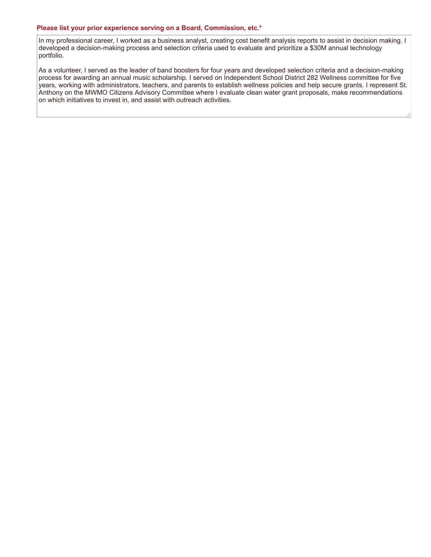### **Please list your prior experience serving on a Board, Commission, etc.\***

In my professional career, I worked as a business analyst, creating cost benefit analysis reports to assist in decision making. I developed a decision-making process and selection criteria used to evaluate and prioritize a \$30M annual technology portfolio.

As a volunteer, I served as the leader of band boosters for four years and developed selection criteria and a decision-making process for awarding an annual music scholarship. I served on Independent School District 282 Wellness committee for five years, working with administrators, teachers, and parents to establish wellness policies and help secure grants. I represent St. Anthony on the MWMO Citizens Advisory Committee where I evaluate clean water grant proposals, make recommendations on which initiatives to invest in, and assist with outreach activities.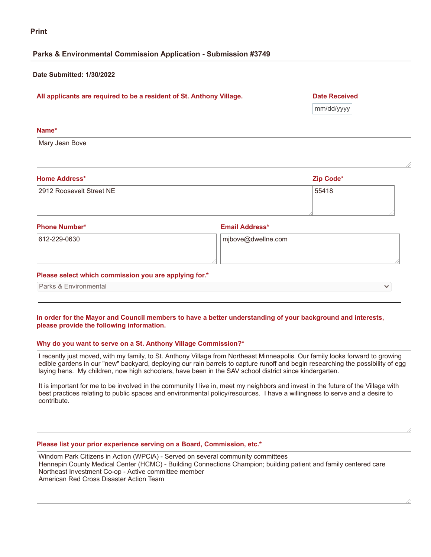# **Parks & Environmental Commission Application - Submission #3749**

### **Date Submitted: 1/30/2022**

# **All applicants are required to be a resident of St. Anthony Village. Date Received**

mm/dd/yyyy

**Name\***

Mary Jean Bove

| <b>Home Address*</b>     | Zip Code* |
|--------------------------|-----------|
| 2912 Roosevelt Street NE | 55418     |
|                          |           |

**Phone Number\* Email Address\***

612-229-0630 mjbove@dwellne.com

### **Please select which commission you are applying for.\***

Parks & Environmental

### In order for the Mayor and Council members to have a better understanding of your background and interests, **please provide the following information.**

### **Why do you want to serve on a St. Anthony Village Commission?\***

I recently just moved, with my family, to St. Anthony Village from Northeast Minneapolis. Our family looks forward to growing edible gardens in our "new" backyard, deploying our rain barrels to capture runoff and begin researching the possibility of egg laying hens. My children, now high schoolers, have been in the SAV school district since kindergarten.

It is important for me to be involved in the community I live in, meet my neighbors and invest in the future of the Village with best practices relating to public spaces and environmental policy/resources. I have a willingness to serve and a desire to contribute.

# **Please list your prior experience serving on a Board, Commission, etc.\***

Windom Park Citizens in Action (WPCiA) - Served on several community committees Hennepin County Medical Center (HCMC) - Building Connections Champion; building patient and family centered care Northeast Investment Co-op - Active committee member American Red Cross Disaster Action Team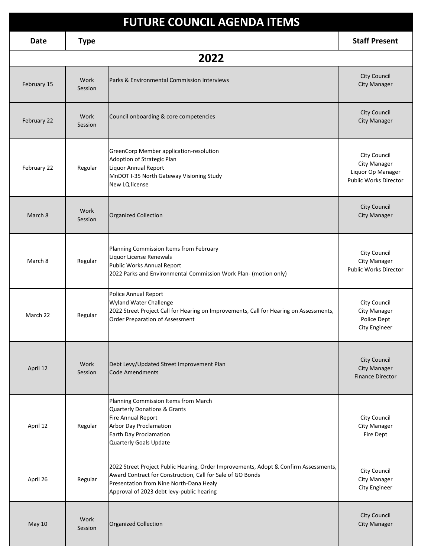| <b>FUTURE COUNCIL AGENDA ITEMS</b> |                 |                                                                                                                                                                                                                                            |                                                                                          |
|------------------------------------|-----------------|--------------------------------------------------------------------------------------------------------------------------------------------------------------------------------------------------------------------------------------------|------------------------------------------------------------------------------------------|
| Date                               | <b>Type</b>     |                                                                                                                                                                                                                                            | <b>Staff Present</b>                                                                     |
|                                    |                 | 2022                                                                                                                                                                                                                                       |                                                                                          |
| February 15                        | Work<br>Session | Parks & Environmental Commission Interviews                                                                                                                                                                                                | <b>City Council</b><br><b>City Manager</b>                                               |
| February 22                        | Work<br>Session | Council onboarding & core competencies                                                                                                                                                                                                     | City Council<br><b>City Manager</b>                                                      |
| February 22                        | Regular         | GreenCorp Member application-resolution<br>Adoption of Strategic Plan<br>Liquor Annual Report<br>MnDOT I-35 North Gateway Visioning Study<br>New LQ license                                                                                | City Council<br><b>City Manager</b><br>Liquor Op Manager<br><b>Public Works Director</b> |
| March 8                            | Work<br>Session | <b>Organized Collection</b>                                                                                                                                                                                                                | <b>City Council</b><br><b>City Manager</b>                                               |
| March 8                            | Regular         | Planning Commission Items from February<br>Liquor License Renewals<br>Public Works Annual Report<br>2022 Parks and Environmental Commission Work Plan- (motion only)                                                                       | City Council<br><b>City Manager</b><br><b>Public Works Director</b>                      |
| March 22                           | Regular         | Police Annual Report<br>Wyland Water Challenge<br>2022 Street Project Call for Hearing on Improvements, Call for Hearing on Assessments,<br>Order Preparation of Assessment                                                                | City Council<br>City Manager<br>Police Dept<br>City Engineer                             |
| April 12                           | Work<br>Session | Debt Levy/Updated Street Improvement Plan<br><b>Code Amendments</b>                                                                                                                                                                        | City Council<br><b>City Manager</b><br><b>Finance Director</b>                           |
| April 12                           | Regular         | Planning Commission Items from March<br><b>Quarterly Donations &amp; Grants</b><br>Fire Annual Report<br><b>Arbor Day Proclamation</b><br>Earth Day Proclamation<br>Quarterly Goals Update                                                 | City Council<br><b>City Manager</b><br>Fire Dept                                         |
| April 26                           | Regular         | 2022 Street Project Public Hearing, Order Improvements, Adopt & Confirm Assessments,<br>Award Contract for Construction, Call for Sale of GO Bonds<br>Presentation from Nine North-Dana Healy<br>Approval of 2023 debt levy-public hearing | City Council<br><b>City Manager</b><br>City Engineer                                     |
| <b>May 10</b>                      | Work<br>Session | <b>Organized Collection</b>                                                                                                                                                                                                                | <b>City Council</b><br><b>City Manager</b>                                               |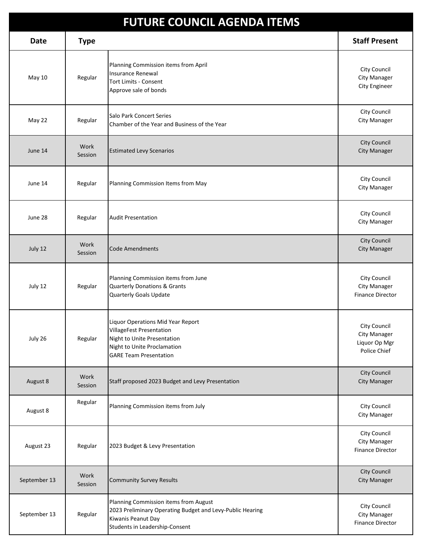| <b>FUTURE COUNCIL AGENDA ITEMS</b> |                 |                                                                                                                                                              |                                                                      |
|------------------------------------|-----------------|--------------------------------------------------------------------------------------------------------------------------------------------------------------|----------------------------------------------------------------------|
| <b>Date</b>                        | <b>Type</b>     |                                                                                                                                                              | <b>Staff Present</b>                                                 |
| May 10                             | Regular         | Planning Commission items from April<br><b>Insurance Renewal</b><br><b>Tort Limits - Consent</b><br>Approve sale of bonds                                    | City Council<br><b>City Manager</b><br>City Engineer                 |
| May 22                             | Regular         | <b>Salo Park Concert Series</b><br>Chamber of the Year and Business of the Year                                                                              | City Council<br><b>City Manager</b>                                  |
| June 14                            | Work<br>Session | <b>Estimated Levy Scenarios</b>                                                                                                                              | City Council<br><b>City Manager</b>                                  |
| June 14                            | Regular         | Planning Commission Items from May                                                                                                                           | City Council<br><b>City Manager</b>                                  |
| June 28                            | Regular         | <b>Audit Presentation</b>                                                                                                                                    | City Council<br>City Manager                                         |
| July 12                            | Work<br>Session | <b>Code Amendments</b>                                                                                                                                       | City Council<br><b>City Manager</b>                                  |
| July 12                            | Regular         | Planning Commission items from June<br><b>Quarterly Donations &amp; Grants</b><br>Quarterly Goals Update                                                     | City Council<br>City Manager<br><b>Finance Director</b>              |
| July 26                            | Regular         | Liquor Operations Mid Year Report<br>VillageFest Presentation<br>Night to Unite Presentation<br>Night to Unite Proclamation<br><b>GARE Team Presentation</b> | City Council<br><b>City Manager</b><br>Liquor Op Mgr<br>Police Chief |
| August 8                           | Work<br>Session | Staff proposed 2023 Budget and Levy Presentation                                                                                                             | City Council<br><b>City Manager</b>                                  |
| August 8                           | Regular         | Planning Commission items from July                                                                                                                          | City Council<br>City Manager                                         |
| August 23                          | Regular         | 2023 Budget & Levy Presentation                                                                                                                              | City Council<br>City Manager<br><b>Finance Director</b>              |
| September 13                       | Work<br>Session | <b>Community Survey Results</b>                                                                                                                              | City Council<br><b>City Manager</b>                                  |
| September 13                       | Regular         | Planning Commission items from August<br>2023 Preliminary Operating Budget and Levy-Public Hearing<br>Kiwanis Peanut Day<br>Students in Leadership-Consent   | City Council<br>City Manager<br><b>Finance Director</b>              |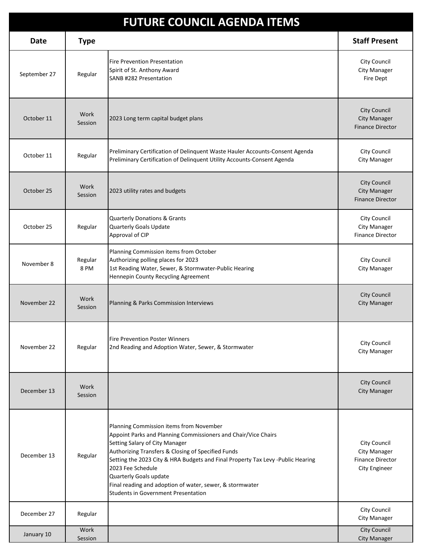| <b>FUTURE COUNCIL AGENDA ITEMS</b> |                 |                                                                                                                                                                                                                                                                                                                                                                                                                                               |                                                                          |
|------------------------------------|-----------------|-----------------------------------------------------------------------------------------------------------------------------------------------------------------------------------------------------------------------------------------------------------------------------------------------------------------------------------------------------------------------------------------------------------------------------------------------|--------------------------------------------------------------------------|
| Date                               | <b>Type</b>     |                                                                                                                                                                                                                                                                                                                                                                                                                                               | <b>Staff Present</b>                                                     |
| September 27                       | Regular         | <b>Fire Prevention Presentation</b><br>Spirit of St. Anthony Award<br>SANB #282 Presentation                                                                                                                                                                                                                                                                                                                                                  | City Council<br>City Manager<br>Fire Dept                                |
| October 11                         | Work<br>Session | 2023 Long term capital budget plans                                                                                                                                                                                                                                                                                                                                                                                                           | <b>City Council</b><br><b>City Manager</b><br><b>Finance Director</b>    |
| October 11                         | Regular         | Preliminary Certification of Delinquent Waste Hauler Accounts-Consent Agenda<br>Preliminary Certification of Delinquent Utility Accounts-Consent Agenda                                                                                                                                                                                                                                                                                       | City Council<br><b>City Manager</b>                                      |
| October 25                         | Work<br>Session | 2023 utility rates and budgets                                                                                                                                                                                                                                                                                                                                                                                                                | <b>City Council</b><br><b>City Manager</b><br><b>Finance Director</b>    |
| October 25                         | Regular         | <b>Quarterly Donations &amp; Grants</b><br>Quarterly Goals Update<br>Approval of CIP                                                                                                                                                                                                                                                                                                                                                          | City Council<br>City Manager<br><b>Finance Director</b>                  |
| November 8                         | Regular<br>8 PM | Planning Commission items from October<br>Authorizing polling places for 2023<br>1st Reading Water, Sewer, & Stormwater-Public Hearing<br>Hennepin County Recycling Agreement                                                                                                                                                                                                                                                                 | City Council<br>City Manager                                             |
| November 22                        | Work<br>Session | Planning & Parks Commission Interviews                                                                                                                                                                                                                                                                                                                                                                                                        | <b>City Council</b><br><b>City Manager</b>                               |
| November 22                        | Regular         | <b>Fire Prevention Poster Winners</b><br>2nd Reading and Adoption Water, Sewer, & Stormwater                                                                                                                                                                                                                                                                                                                                                  | City Council<br><b>City Manager</b>                                      |
| December 13                        | Work<br>Session |                                                                                                                                                                                                                                                                                                                                                                                                                                               | <b>City Council</b><br><b>City Manager</b>                               |
| December 13                        | Regular         | Planning Commission items from November<br>Appoint Parks and Planning Commissioners and Chair/Vice Chairs<br>Setting Salary of City Manager<br>Authorizing Transfers & Closing of Specified Funds<br>Setting the 2023 City & HRA Budgets and Final Property Tax Levy -Public Hearing<br>2023 Fee Schedule<br>Quarterly Goals update<br>Final reading and adoption of water, sewer, & stormwater<br><b>Students in Government Presentation</b> | City Council<br>City Manager<br><b>Finance Director</b><br>City Engineer |
| December 27                        | Regular         |                                                                                                                                                                                                                                                                                                                                                                                                                                               | City Council<br>City Manager                                             |
| January 10                         | Work<br>Session |                                                                                                                                                                                                                                                                                                                                                                                                                                               | <b>City Council</b><br><b>City Manager</b>                               |